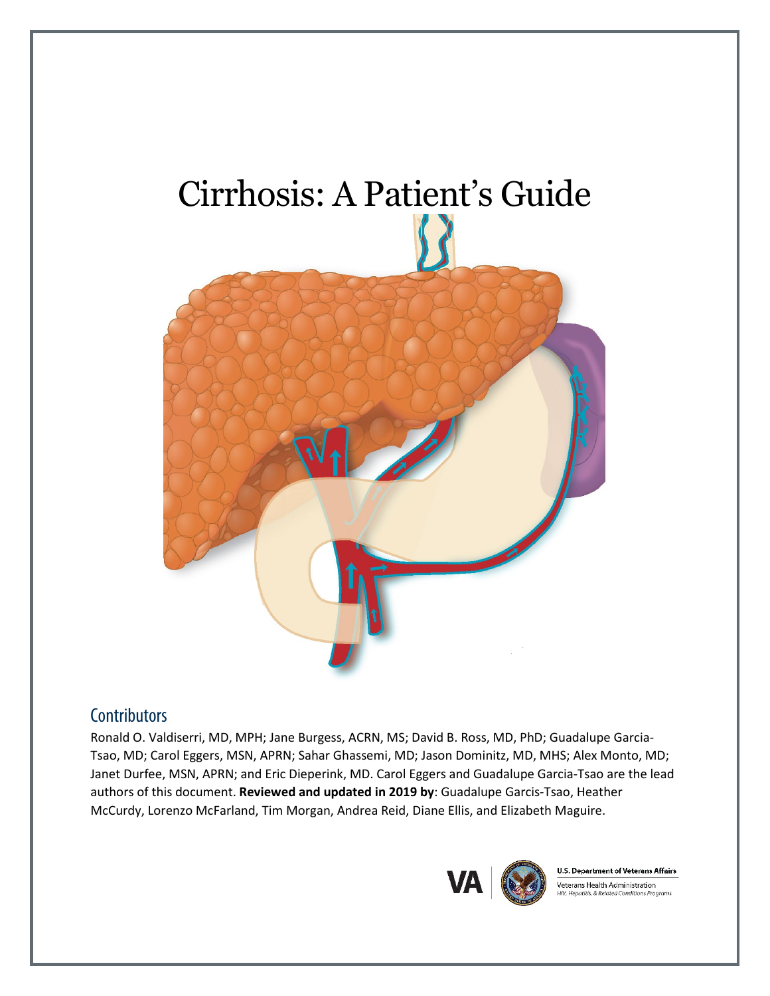# Cirrhosis: A Patient's Guide

# **Contributors**

Ronald O. Valdiserri, MD, MPH; Jane Burgess, ACRN, MS; David B. Ross, MD, PhD; Guadalupe Garcia-Tsao, MD; Carol Eggers, MSN, APRN; Sahar Ghassemi, MD; Jason Dominitz, MD, MHS; Alex Monto, MD; Janet Durfee, MSN, APRN; and Eric Dieperink, MD. Carol Eggers and Guadalupe Garcia-Tsao are the lead authors of this document. **Reviewed and updated in 2019 by**: Guadalupe Garcis-Tsao, Heather McCurdy, Lorenzo McFarland, Tim Morgan, Andrea Reid, Diane Ellis, and Elizabeth Maguire.



**U.S. Department of Veterans Affairs** Veterans Health Administration V. Hepatitis, & Related Conditions Programs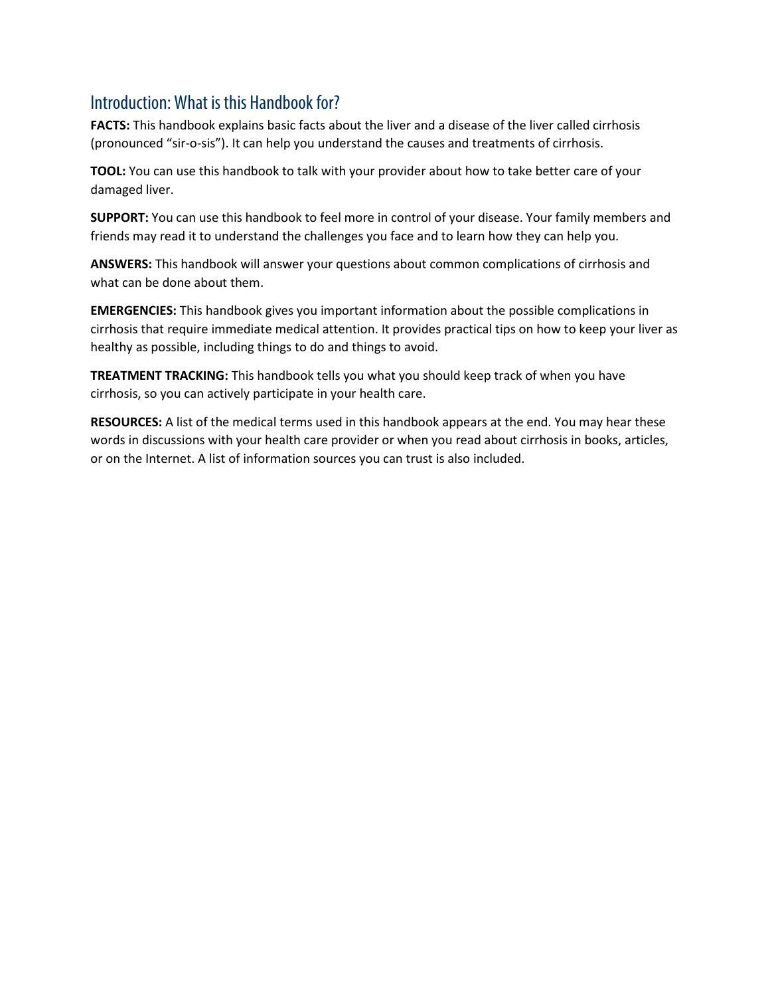# Introduction: What is this Handbook for?

**FACTS:** This handbook explains basic facts about the liver and a disease of the liver called cirrhosis (pronounced "sir-o-sis"). It can help you understand the causes and treatments of cirrhosis.

**TOOL:** You can use this handbook to talk with your provider about how to take better care of your damaged liver.

**SUPPORT:** You can use this handbook to feel more in control of your disease. Your family members and friends may read it to understand the challenges you face and to learn how they can help you.

**ANSWERS:** This handbook will answer your questions about common complications of cirrhosis and what can be done about them.

**EMERGENCIES:** This handbook gives you important information about the possible complications in cirrhosis that require immediate medical attention. It provides practical tips on how to keep your liver as healthy as possible, including things to do and things to avoid.

**TREATMENT TRACKING:** This handbook tells you what you should keep track of when you have cirrhosis, so you can actively participate in your health care.

**RESOURCES:** A list of the medical terms used in this handbook appears at the end. You may hear these words in discussions with your health care provider or when you read about cirrhosis in books, articles, or on the Internet. A list of information sources you can trust is also included.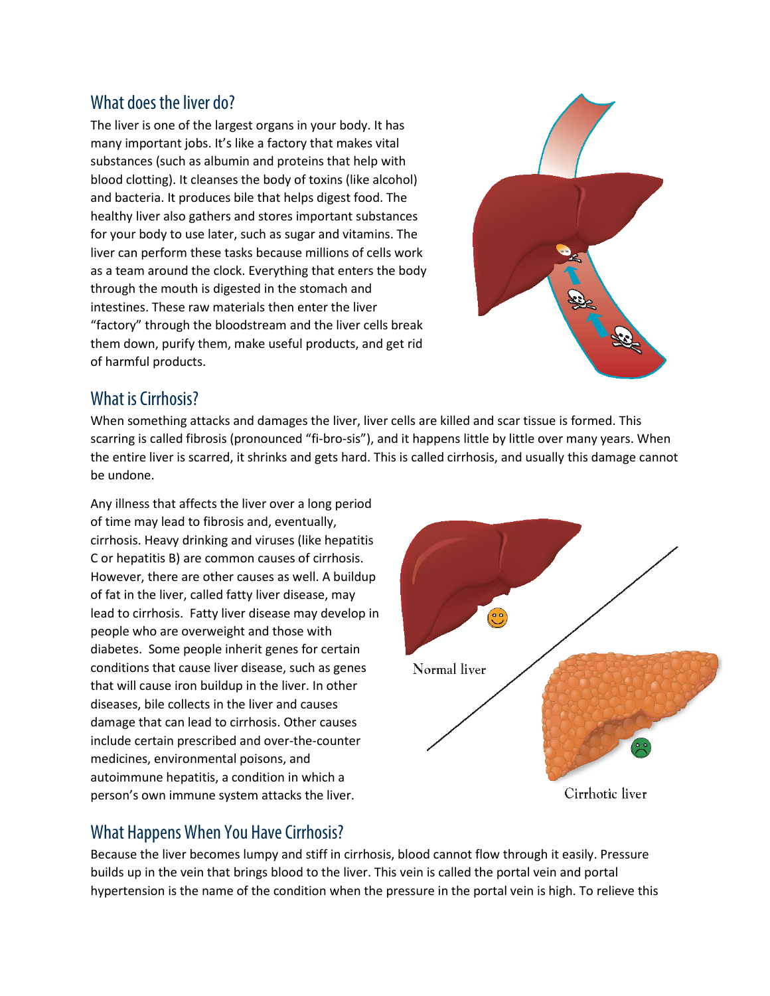# What does the liver do?

The liver is one of the largest organs in your body. It has many important jobs. It's like a factory that makes vital substances (such as albumin and proteins that help with blood clotting). It cleanses the body of toxins (like alcohol) and bacteria. It produces bile that helps digest food. The healthy liver also gathers and stores important substances for your body to use later, such as sugar and vitamins. The liver can perform these tasks because millions of cells work as a team around the clock. Everything that enters the body through the mouth is digested in the stomach and intestines. These raw materials then enter the liver "factory" through the bloodstream and the liver cells break them down, purify them, make useful products, and get rid of harmful products.



# What is Cirrhosis?

When something attacks and damages the liver, liver cells are killed and scar tissue is formed. This scarring is called fibrosis (pronounced "fi-bro-sis"), and it happens little by little over many years. When the entire liver is scarred, it shrinks and gets hard. This is called cirrhosis, and usually this damage cannot be undone.

Any illness that affects the liver over a long period of time may lead to fibrosis and, eventually, cirrhosis. Heavy drinking and viruses (like hepatitis C or hepatitis B) are common causes of cirrhosis. However, there are other causes as well. A buildup of fat in the liver, called fatty liver disease, may lead to cirrhosis. Fatty liver disease may develop in people who are overweight and those with diabetes. Some people inherit genes for certain conditions that cause liver disease, such as genes that will cause iron buildup in the liver. In other diseases, bile collects in the liver and causes damage that can lead to cirrhosis. Other causes include certain prescribed and over-the-counter medicines, environmental poisons, and autoimmune hepatitis, a condition in which a person's own immune system attacks the liver.



# What Happens When You Have Cirrhosis?

Because the liver becomes lumpy and stiff in cirrhosis, blood cannot flow through it easily. Pressure builds up in the vein that brings blood to the liver. This vein is called the portal vein and portal hypertension is the name of the condition when the pressure in the portal vein is high. To relieve this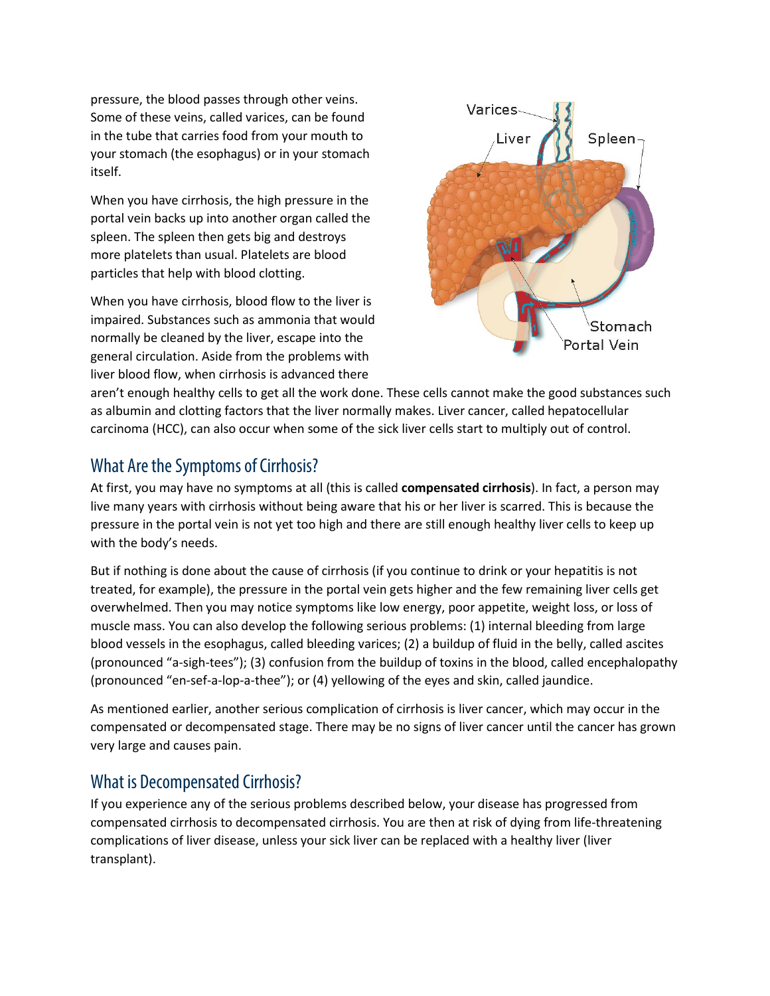pressure, the blood passes through other veins. Some of these veins, called varices, can be found in the tube that carries food from your mouth to your stomach (the esophagus) or in your stomach itself.

When you have cirrhosis, the high pressure in the portal vein backs up into another organ called the spleen. The spleen then gets big and destroys more platelets than usual. Platelets are blood particles that help with blood clotting.

When you have cirrhosis, blood flow to the liver is impaired. Substances such as ammonia that would normally be cleaned by the liver, escape into the general circulation. Aside from the problems with liver blood flow, when cirrhosis is advanced there



aren't enough healthy cells to get all the work done. These cells cannot make the good substances such as albumin and clotting factors that the liver normally makes. Liver cancer, called hepatocellular carcinoma (HCC), can also occur when some of the sick liver cells start to multiply out of control.

# What Are the Symptoms of Cirrhosis?

At first, you may have no symptoms at all (this is called **compensated cirrhosis**). In fact, a person may live many years with cirrhosis without being aware that his or her liver is scarred. This is because the pressure in the portal vein is not yet too high and there are still enough healthy liver cells to keep up with the body's needs.

But if nothing is done about the cause of cirrhosis (if you continue to drink or your hepatitis is not treated, for example), the pressure in the portal vein gets higher and the few remaining liver cells get overwhelmed. Then you may notice symptoms like low energy, poor appetite, weight loss, or loss of muscle mass. You can also develop the following serious problems: (1) internal bleeding from large blood vessels in the esophagus, called bleeding varices; (2) a buildup of fluid in the belly, called ascites (pronounced "a-sigh-tees"); (3) confusion from the buildup of toxins in the blood, called encephalopathy (pronounced "en-sef-a-lop-a-thee"); or (4) yellowing of the eyes and skin, called jaundice.

As mentioned earlier, another serious complication of cirrhosis is liver cancer, which may occur in the compensated or decompensated stage. There may be no signs of liver cancer until the cancer has grown very large and causes pain.

# What is Decompensated Cirrhosis?

If you experience any of the serious problems described below, your disease has progressed from compensated cirrhosis to decompensated cirrhosis. You are then at risk of dying from life-threatening complications of liver disease, unless your sick liver can be replaced with a healthy liver (liver transplant).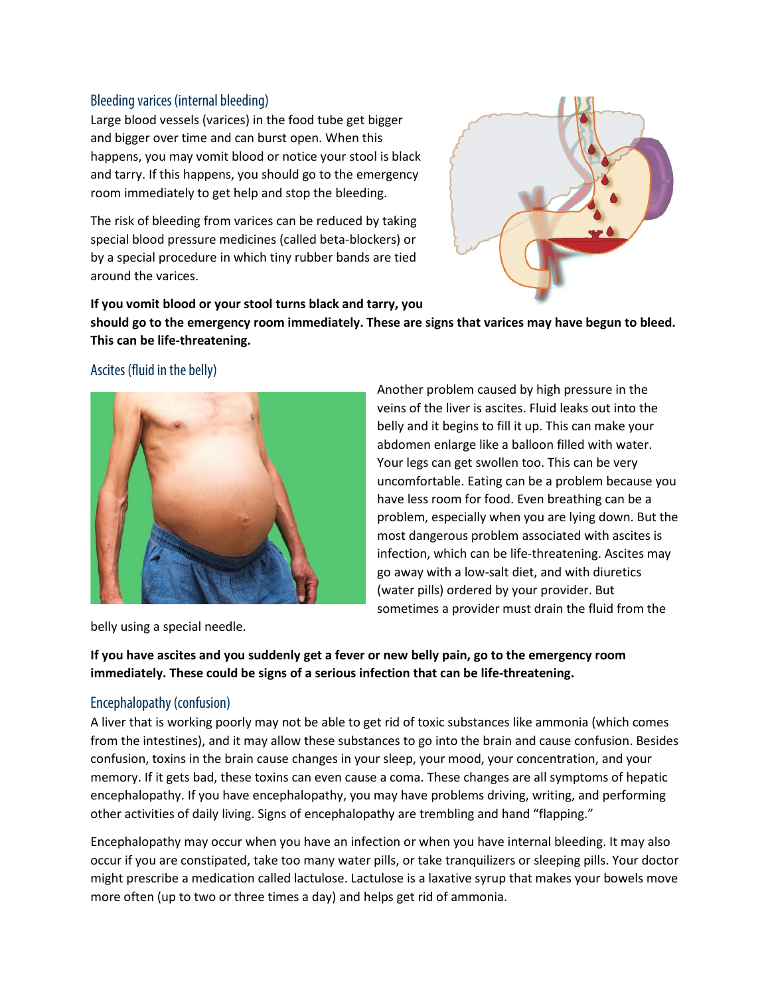### Bleeding varices (internal bleeding)

Large blood vessels (varices) in the food tube get bigger and bigger over time and can burst open. When this happens, you may vomit blood or notice your stool is black and tarry. If this happens, you should go to the emergency room immediately to get help and stop the bleeding.

The risk of bleeding from varices can be reduced by taking special blood pressure medicines (called beta-blockers) or by a special procedure in which tiny rubber bands are tied around the varices.



**If you vomit blood or your stool turns black and tarry, you should go to the emergency room immediately. These are signs that varices may have begun to bleed. This can be life-threatening.**

### Ascites (fluid in the belly)



Another problem caused by high pressure in the veins of the liver is ascites. Fluid leaks out into the belly and it begins to fill it up. This can make your abdomen enlarge like a balloon filled with water. Your legs can get swollen too. This can be very uncomfortable. Eating can be a problem because you have less room for food. Even breathing can be a problem, especially when you are lying down. But the most dangerous problem associated with ascites is infection, which can be life-threatening. Ascites may go away with a low-salt diet, and with diuretics (water pills) ordered by your provider. But sometimes a provider must drain the fluid from the

belly using a special needle.

**If you have ascites and you suddenly get a fever or new belly pain, go to the emergency room immediately. These could be signs of a serious infection that can be life-threatening.**

### Encephalopathy (confusion)

A liver that is working poorly may not be able to get rid of toxic substances like ammonia (which comes from the intestines), and it may allow these substances to go into the brain and cause confusion. Besides confusion, toxins in the brain cause changes in your sleep, your mood, your concentration, and your memory. If it gets bad, these toxins can even cause a coma. These changes are all symptoms of hepatic encephalopathy. If you have encephalopathy, you may have problems driving, writing, and performing other activities of daily living. Signs of encephalopathy are trembling and hand "flapping."

Encephalopathy may occur when you have an infection or when you have internal bleeding. It may also occur if you are constipated, take too many water pills, or take tranquilizers or sleeping pills. Your doctor might prescribe a medication called lactulose. Lactulose is a laxative syrup that makes your bowels move more often (up to two or three times a day) and helps get rid of ammonia.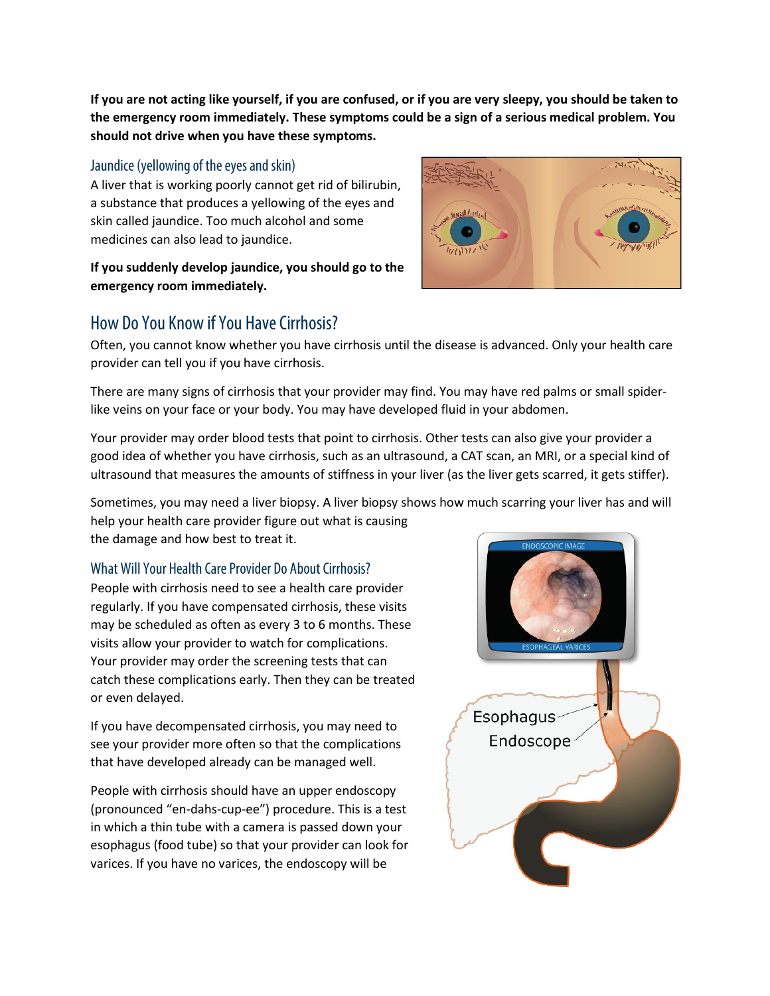**If you are not acting like yourself, if you are confused, or if you are very sleepy, you should be taken to the emergency room immediately. These symptoms could be a sign of a serious medical problem. You should not drive when you have these symptoms.**

### Jaundice (yellowing of the eyes and skin)

A liver that is working poorly cannot get rid of bilirubin, a substance that produces a yellowing of the eyes and skin called jaundice. Too much alcohol and some medicines can also lead to jaundice.

### **If you suddenly develop jaundice, you should go to the emergency room immediately.**



# How Do You Know if You Have Cirrhosis?

Often, you cannot know whether you have cirrhosis until the disease is advanced. Only your health care provider can tell you if you have cirrhosis.

There are many signs of cirrhosis that your provider may find. You may have red palms or small spiderlike veins on your face or your body. You may have developed fluid in your abdomen.

Your provider may order blood tests that point to cirrhosis. Other tests can also give your provider a good idea of whether you have cirrhosis, such as an ultrasound, a CAT scan, an MRI, or a special kind of ultrasound that measures the amounts of stiffness in your liver (as the liver gets scarred, it gets stiffer).

Sometimes, you may need a liver biopsy. A liver biopsy shows how much scarring your liver has and will help your health care provider figure out what is causing the damage and how best to treat it.

### What Will Your Health Care Provider Do About Cirrhosis?

People with cirrhosis need to see a health care provider regularly. If you have compensated cirrhosis, these visits may be scheduled as often as every 3 to 6 months. These visits allow your provider to watch for complications. Your provider may order the screening tests that can catch these complications early. Then they can be treated or even delayed.

If you have decompensated cirrhosis, you may need to see your provider more often so that the complications that have developed already can be managed well.

People with cirrhosis should have an upper endoscopy (pronounced "en-dahs-cup-ee") procedure. This is a test in which a thin tube with a camera is passed down your esophagus (food tube) so that your provider can look for varices. If you have no varices, the endoscopy will be

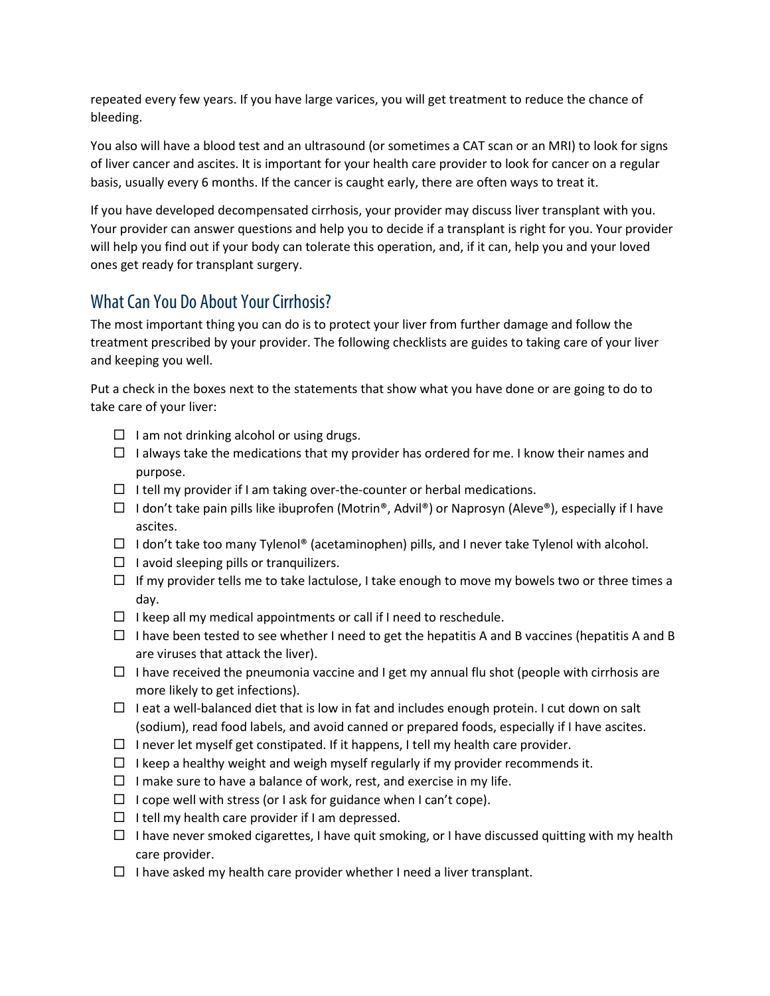repeated every few years. If you have large varices, you will get treatment to reduce the chance of bleeding.

You also will have a blood test and an ultrasound (or sometimes a CAT scan or an MRI) to look for signs of liver cancer and ascites. It is important for your health care provider to look for cancer on a regular basis, usually every 6 months. If the cancer is caught early, there are often ways to treat it.

If you have developed decompensated cirrhosis, your provider may discuss liver transplant with you. Your provider can answer questions and help you to decide if a transplant is right for you. Your provider will help you find out if your body can tolerate this operation, and, if it can, help you and your loved ones get ready for transplant surgery.

# What Can You Do About Your Cirrhosis?

The most important thing you can do is to protect your liver from further damage and follow the treatment prescribed by your provider. The following checklists are guides to taking care of your liver and keeping you well.

Put a check in the boxes next to the statements that show what you have done or are going to do to take care of your liver:

- $\Box$  I am not drinking alcohol or using drugs.
- $\Box$  I always take the medications that my provider has ordered for me. I know their names and purpose.
- $\Box$  I tell my provider if I am taking over-the-counter or herbal medications.
- $\Box$  I don't take pain pills like ibuprofen (Motrin®, Advil®) or Naprosyn (Aleve®), especially if I have ascites.
- $\Box$  I don't take too many Tylenol® (acetaminophen) pills, and I never take Tylenol with alcohol.
- $\Box$  I avoid sleeping pills or tranquilizers.
- $\Box$  If my provider tells me to take lactulose, I take enough to move my bowels two or three times a day.
- $\Box$  I keep all my medical appointments or call if I need to reschedule.
- $\Box$  I have been tested to see whether I need to get the hepatitis A and B vaccines (hepatitis A and B are viruses that attack the liver).
- $\Box$  I have received the pneumonia vaccine and I get my annual flu shot (people with cirrhosis are more likely to get infections).
- $\Box$  I eat a well-balanced diet that is low in fat and includes enough protein. I cut down on salt (sodium), read food labels, and avoid canned or prepared foods, especially if I have ascites.
- $\Box$  I never let myself get constipated. If it happens, I tell my health care provider.
- $\Box$  I keep a healthy weight and weigh myself regularly if my provider recommends it.
- $\Box$  I make sure to have a balance of work, rest, and exercise in my life.
- $\Box$  I cope well with stress (or I ask for guidance when I can't cope).
- $\Box$  I tell my health care provider if I am depressed.
- $\Box$  I have never smoked cigarettes, I have quit smoking, or I have discussed quitting with my health care provider.
- $\Box$  I have asked my health care provider whether I need a liver transplant.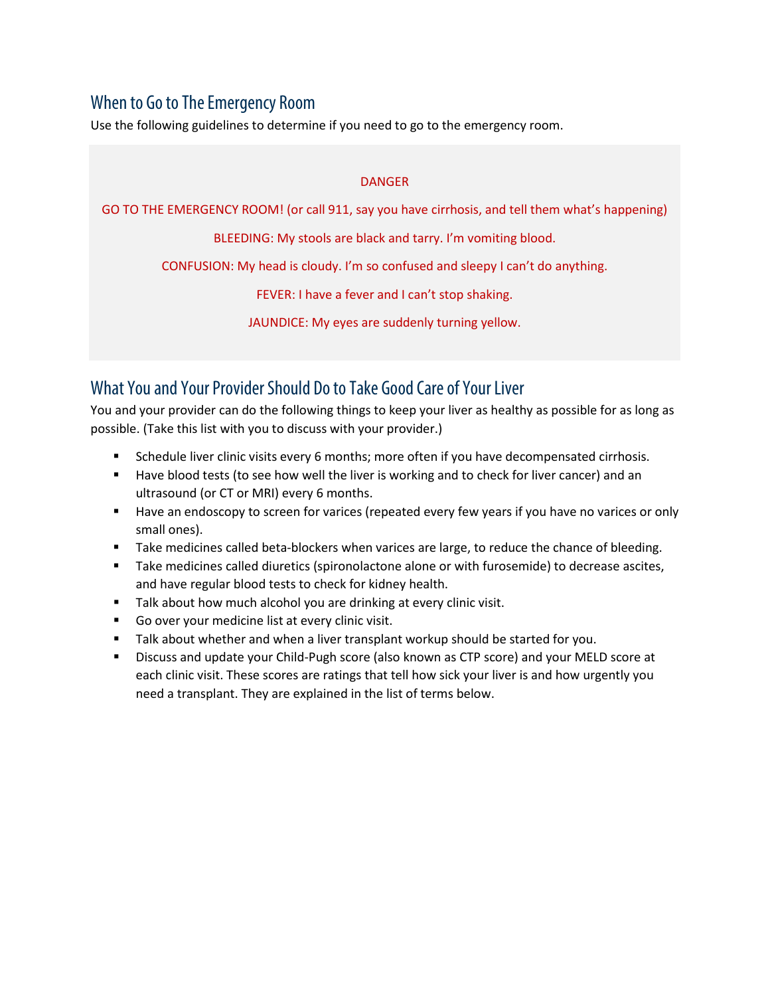# When to Go to The Emergency Room

Use the following guidelines to determine if you need to go to the emergency room.

### DANGER

GO TO THE EMERGENCY ROOM! (or call 911, say you have cirrhosis, and tell them what's happening)

BLEEDING: My stools are black and tarry. I'm vomiting blood.

CONFUSION: My head is cloudy. I'm so confused and sleepy I can't do anything.

FEVER: I have a fever and I can't stop shaking.

JAUNDICE: My eyes are suddenly turning yellow.

# What You and Your Provider Should Do to Take Good Care of Your Liver

You and your provider can do the following things to keep your liver as healthy as possible for as long as possible. (Take this list with you to discuss with your provider.)

- Schedule liver clinic visits every 6 months; more often if you have decompensated cirrhosis.
- **Have blood tests (to see how well the liver is working and to check for liver cancer) and an** ultrasound (or CT or MRI) every 6 months.
- **Have an endoscopy to screen for varices (repeated every few years if you have no varices or only** small ones).
- **Take medicines called beta-blockers when varices are large, to reduce the chance of bleeding.**
- **Take medicines called diuretics (spironolactone alone or with furosemide) to decrease ascites,** and have regular blood tests to check for kidney health.
- Talk about how much alcohol you are drinking at every clinic visit.
- Go over your medicine list at every clinic visit.
- **Talk about whether and when a liver transplant workup should be started for you.**
- Discuss and update your Child-Pugh score (also known as CTP score) and your MELD score at each clinic visit. These scores are ratings that tell how sick your liver is and how urgently you need a transplant. They are explained in the list of terms below.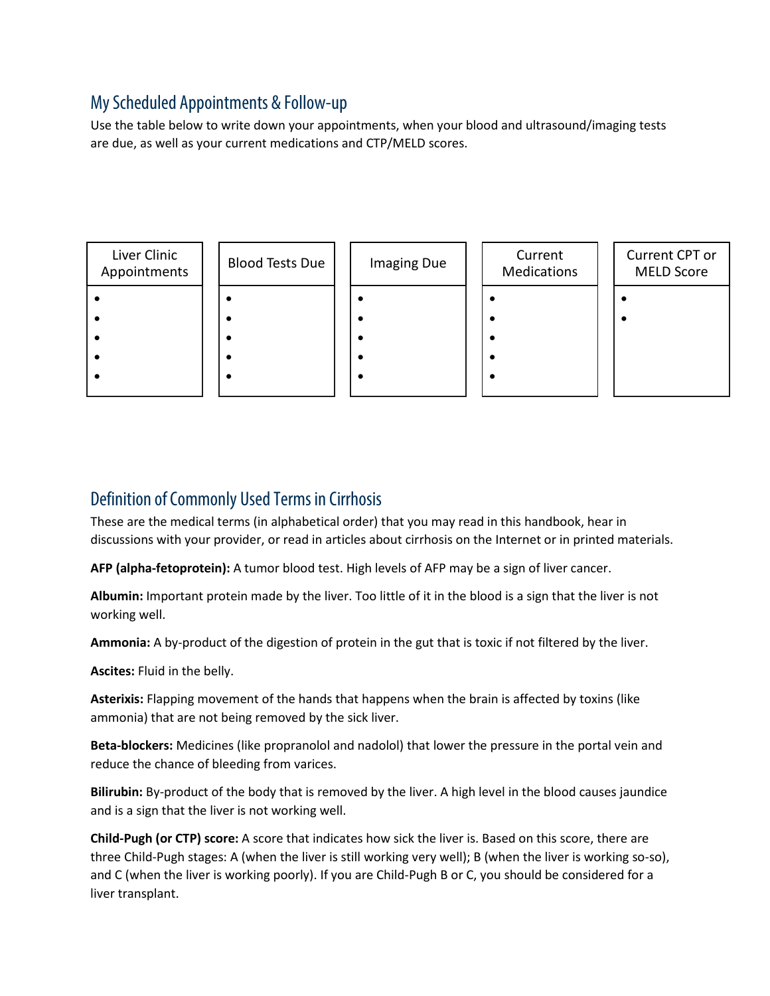# My Scheduled Appointments & Follow-up

Use the table below to write down your appointments, when your blood and ultrasound/imaging tests are due, as well as your current medications and CTP/MELD scores.



# Definition of Commonly Used Terms in Cirrhosis

These are the medical terms (in alphabetical order) that you may read in this handbook, hear in discussions with your provider, or read in articles about cirrhosis on the Internet or in printed materials.

**AFP (alpha-fetoprotein):** A tumor blood test. High levels of AFP may be a sign of liver cancer.

**Albumin:** Important protein made by the liver. Too little of it in the blood is a sign that the liver is not working well.

**Ammonia:** A by-product of the digestion of protein in the gut that is toxic if not filtered by the liver.

**Ascites:** Fluid in the belly.

**Asterixis:** Flapping movement of the hands that happens when the brain is affected by toxins (like ammonia) that are not being removed by the sick liver.

**Beta-blockers:** Medicines (like propranolol and nadolol) that lower the pressure in the portal vein and reduce the chance of bleeding from varices.

**Bilirubin:** By-product of the body that is removed by the liver. A high level in the blood causes jaundice and is a sign that the liver is not working well.

**Child-Pugh (or CTP) score:** A score that indicates how sick the liver is. Based on this score, there are three Child-Pugh stages: A (when the liver is still working very well); B (when the liver is working so-so), and C (when the liver is working poorly). If you are Child-Pugh B or C, you should be considered for a liver transplant.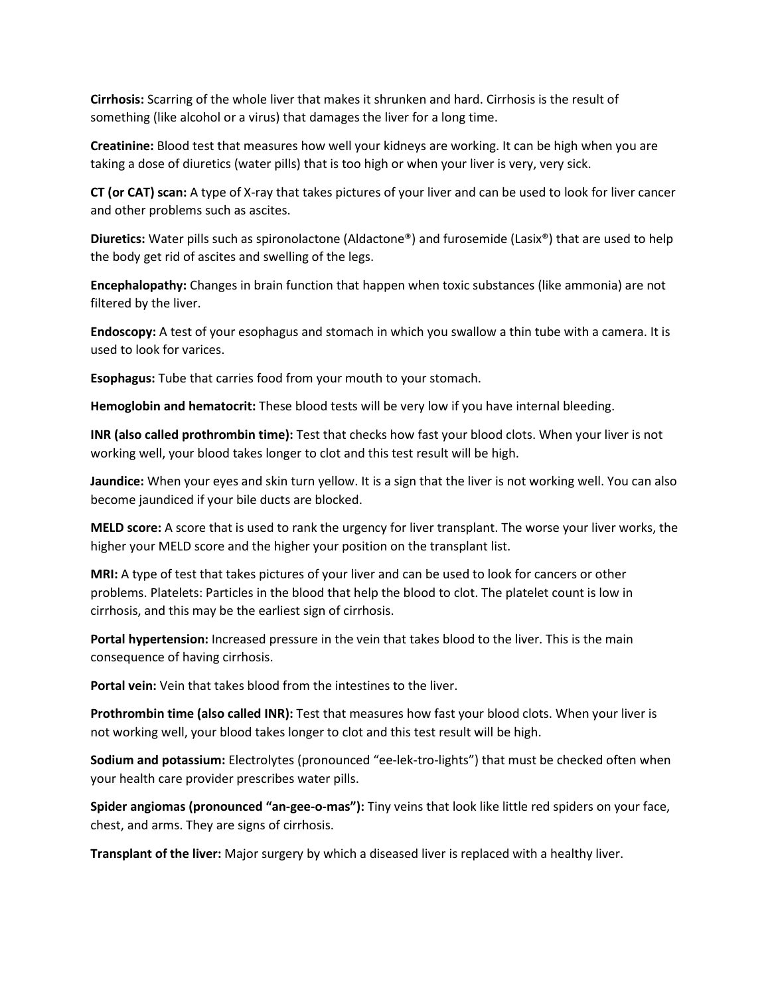**Cirrhosis:** Scarring of the whole liver that makes it shrunken and hard. Cirrhosis is the result of something (like alcohol or a virus) that damages the liver for a long time.

**Creatinine:** Blood test that measures how well your kidneys are working. It can be high when you are taking a dose of diuretics (water pills) that is too high or when your liver is very, very sick.

**CT (or CAT) scan:** A type of X-ray that takes pictures of your liver and can be used to look for liver cancer and other problems such as ascites.

**Diuretics:** Water pills such as spironolactone (Aldactone®) and furosemide (Lasix®) that are used to help the body get rid of ascites and swelling of the legs.

**Encephalopathy:** Changes in brain function that happen when toxic substances (like ammonia) are not filtered by the liver.

**Endoscopy:** A test of your esophagus and stomach in which you swallow a thin tube with a camera. It is used to look for varices.

**Esophagus:** Tube that carries food from your mouth to your stomach.

**Hemoglobin and hematocrit:** These blood tests will be very low if you have internal bleeding.

**INR (also called prothrombin time):** Test that checks how fast your blood clots. When your liver is not working well, your blood takes longer to clot and this test result will be high.

**Jaundice:** When your eyes and skin turn yellow. It is a sign that the liver is not working well. You can also become jaundiced if your bile ducts are blocked.

**MELD score:** A score that is used to rank the urgency for liver transplant. The worse your liver works, the higher your MELD score and the higher your position on the transplant list.

**MRI:** A type of test that takes pictures of your liver and can be used to look for cancers or other problems. Platelets: Particles in the blood that help the blood to clot. The platelet count is low in cirrhosis, and this may be the earliest sign of cirrhosis.

**Portal hypertension:** Increased pressure in the vein that takes blood to the liver. This is the main consequence of having cirrhosis.

**Portal vein:** Vein that takes blood from the intestines to the liver.

**Prothrombin time (also called INR):** Test that measures how fast your blood clots. When your liver is not working well, your blood takes longer to clot and this test result will be high.

**Sodium and potassium:** Electrolytes (pronounced "ee-lek-tro-lights") that must be checked often when your health care provider prescribes water pills.

**Spider angiomas (pronounced "an-gee-o-mas"):** Tiny veins that look like little red spiders on your face, chest, and arms. They are signs of cirrhosis.

**Transplant of the liver:** Major surgery by which a diseased liver is replaced with a healthy liver.